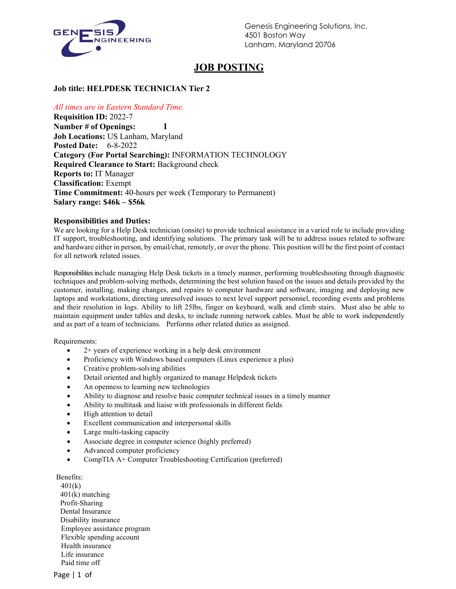

Genesis Engineering Solutions, Inc. 4501 Boston Way Lanham, Maryland 20706

# **JOB POSTING**

## **Job title: HELPDESK TECHNICIAN Tier 2**

### *All times are in Eastern Standard Time.*

**Requisition ID:** 2022-7 **Number # of Openings: 1 Job Locations:** US Lanham, Maryland **Posted Date:** 6-8-2022 **Category (For Portal Searching):** INFORMATION TECHNOLOGY **Required Clearance to Start:** Background check **Reports to:** IT Manager **Classification:** Exempt **Time Commitment:** 40-hours per week (Temporary to Permanent) **Salary range: \$46k – \$56k**

#### **Responsibilities and Duties:**

We are looking for a Help Desk technician (onsite) to provide technical assistance in a varied role to include providing IT support, troubleshooting, and identifying solutions. The primary task will be to address issues related to software and hardware either in person, by email/chat, remotely, or over the phone. This position will be the first point of contact for all network related issues.

Responsibilities include managing Help Desk tickets in a timely manner, performing troubleshooting through diagnostic techniques and problem-solving methods, determining the best solution based on the issues and details provided by the customer, installing, making changes, and repairs to computer hardware and software, imaging and deploying new laptops and workstations, directing unresolved issues to next level support personnel, recording events and problems and their resolution in logs. Ability to lift 25lbs, finger on keyboard, walk and climb stairs. Must also be able to maintain equipment under tables and desks, to include running network cables. Must be able to work independently and as part of a team of technicians. Performs other related duties as assigned.

Requirements:

- 2+ years of experience working in a help desk environment
- Proficiency with Windows based computers (Linux experience a plus)
- Creative problem-solving abilities
- Detail oriented and highly organized to manage Helpdesk tickets
- An openness to learning new technologies
- Ability to diagnose and resolve basic computer technical issues in a timely manner
- Ability to multitask and liaise with professionals in different fields
- High attention to detail
- Excellent communication and interpersonal skills
- Large multi-tasking capacity
- Associate degree in computer science (highly preferred)
- Advanced computer proficiency
- CompTIA A+ Computer Troubleshooting Certification (preferred)

Benefits:

401(k) 401(k) matching Profit-Sharing Dental Insurance Disability insurance Employee assistance program Flexible spending account Health insurance Life insurance Paid time off

Page | 1 of